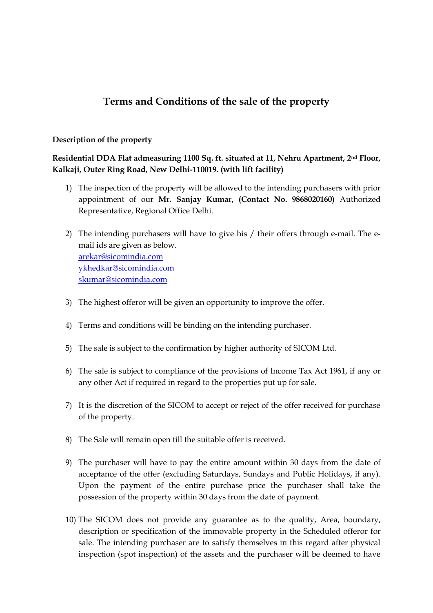## **Terms and Conditions of the sale of the property**

## **Description of the property**

**Residential DDA Flat admeasuring 1100 Sq. ft. situated at 11, Nehru Apartment, 2nd Floor, Kalkaji, Outer Ring Road, New Delhi-110019. (with lift facility)**

- 1) The inspection of the property will be allowed to the intending purchasers with prior appointment of our **Mr. Sanjay Kumar, (Contact No. 9868020160)** Authorized Representative, Regional Office Delhi.
- 2) The intending purchasers will have to give his / their offers through e-mail. The email ids are given as below. [arekar@sicomindia.com](mailto:arekar@sicomindia.com) [ykhedkar@sicomindia.com](mailto:ykhedkar@sicomindia.com) skumar@sicomindia.com
- 3) The highest offeror will be given an opportunity to improve the offer.
- 4) Terms and conditions will be binding on the intending purchaser.
- 5) The sale is subject to the confirmation by higher authority of SICOM Ltd.
- 6) The sale is subject to compliance of the provisions of Income Tax Act 1961, if any or any other Act if required in regard to the properties put up for sale.
- 7) It is the discretion of the SICOM to accept or reject of the offer received for purchase of the property.
- 8) The Sale will remain open till the suitable offer is received.
- 9) The purchaser will have to pay the entire amount within 30 days from the date of acceptance of the offer (excluding Saturdays, Sundays and Public Holidays, if any). Upon the payment of the entire purchase price the purchaser shall take the possession of the property within 30 days from the date of payment.
- 10) The SICOM does not provide any guarantee as to the quality, Area, boundary, description or specification of the immovable property in the Scheduled offeror for sale. The intending purchaser are to satisfy themselves in this regard after physical inspection (spot inspection) of the assets and the purchaser will be deemed to have